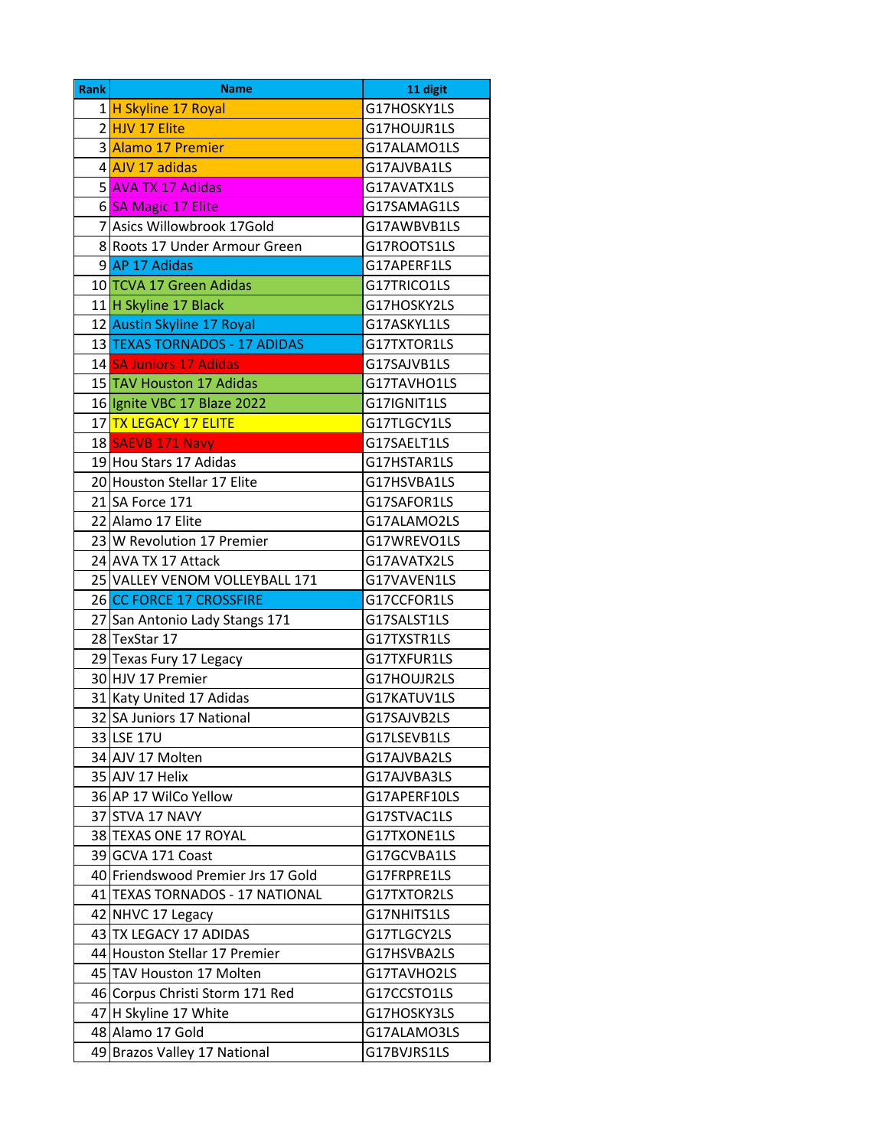| <b>Rank</b> | <b>Name</b>                        | 11 digit     |
|-------------|------------------------------------|--------------|
|             | 1 H Skyline 17 Royal               | G17HOSKY1LS  |
|             | 2 HJV 17 Elite                     | G17HOUJR1LS  |
|             | 3 Alamo 17 Premier                 | G17ALAMO1LS  |
|             | 4 AJV 17 adidas                    | G17AJVBA1LS  |
|             | 5 AVA TX 17 Adidas                 | G17AVATX1LS  |
|             | 6 SA Magic 17 Elite                | G17SAMAG1LS  |
|             | 7 Asics Willowbrook 17Gold         | G17AWBVB1LS  |
|             | 8 Roots 17 Under Armour Green      | G17ROOTS1LS  |
|             | 9 AP 17 Adidas                     | G17APERF1LS  |
|             | 10 TCVA 17 Green Adidas            | G17TRICO1LS  |
|             | 11 H Skyline 17 Black              | G17HOSKY2LS  |
|             | 12 Austin Skyline 17 Royal         | G17ASKYL1LS  |
|             | 13 TEXAS TORNADOS - 17 ADIDAS      | G17TXTOR1LS  |
|             | 14 SA Juniors 17 Adidas            | G17SAJVB1LS  |
|             | 15 TAV Houston 17 Adidas           | G17TAVHO1LS  |
|             | 16 Ignite VBC 17 Blaze 2022        | G17IGNIT1LS  |
|             | 17 <mark>TX LEGACY 17 ELITE</mark> | G17TLGCY1LS  |
|             | 18 SAEVB 171 Navy                  | G17SAELT1LS  |
|             | 19 Hou Stars 17 Adidas             | G17HSTAR1LS  |
|             | 20 Houston Stellar 17 Elite        | G17HSVBA1LS  |
|             | 21 SA Force 171                    | G17SAFOR1LS  |
|             | 22 Alamo 17 Elite                  | G17ALAMO2LS  |
|             | 23 W Revolution 17 Premier         | G17WREVO1LS  |
|             | 24 AVA TX 17 Attack                | G17AVATX2LS  |
|             | 25 VALLEY VENOM VOLLEYBALL 171     | G17VAVEN1LS  |
|             | 26 CC FORCE 17 CROSSFIRE           | G17CCFOR1LS  |
|             | 27 San Antonio Lady Stangs 171     | G17SALST1LS  |
|             | 28 TexStar 17                      | G17TXSTR1LS  |
|             | 29 Texas Fury 17 Legacy            | G17TXFUR1LS  |
|             | 30 HJV 17 Premier                  | G17HOUJR2LS  |
|             | 31 Katy United 17 Adidas           | G17KATUV1LS  |
|             | 32 SA Juniors 17 National          | G17SAJVB2LS  |
|             | 33 LSE 17U                         | G17LSEVB1LS  |
|             | 34 AJV 17 Molten                   | G17AJVBA2LS  |
|             | 35 AJV 17 Helix                    | G17AJVBA3LS  |
|             | 36 AP 17 WilCo Yellow              | G17APERF10LS |
|             | 37 STVA 17 NAVY                    | G17STVAC1LS  |
|             | 38 TEXAS ONE 17 ROYAL              | G17TXONE1LS  |
|             | 39 GCVA 171 Coast                  | G17GCVBA1LS  |
|             | 40 Friendswood Premier Jrs 17 Gold | G17FRPRE1LS  |
|             | 41 TEXAS TORNADOS - 17 NATIONAL    | G17TXTOR2LS  |
|             | 42 NHVC 17 Legacy                  | G17NHITS1LS  |
|             | 43 TX LEGACY 17 ADIDAS             | G17TLGCY2LS  |
|             | 44 Houston Stellar 17 Premier      | G17HSVBA2LS  |
|             | 45 TAV Houston 17 Molten           | G17TAVHO2LS  |
|             | 46 Corpus Christi Storm 171 Red    | G17CCSTO1LS  |
|             | 47 H Skyline 17 White              | G17HOSKY3LS  |
|             | 48 Alamo 17 Gold                   | G17ALAMO3LS  |
| 49          | Brazos Valley 17 National          | G17BVJRS1LS  |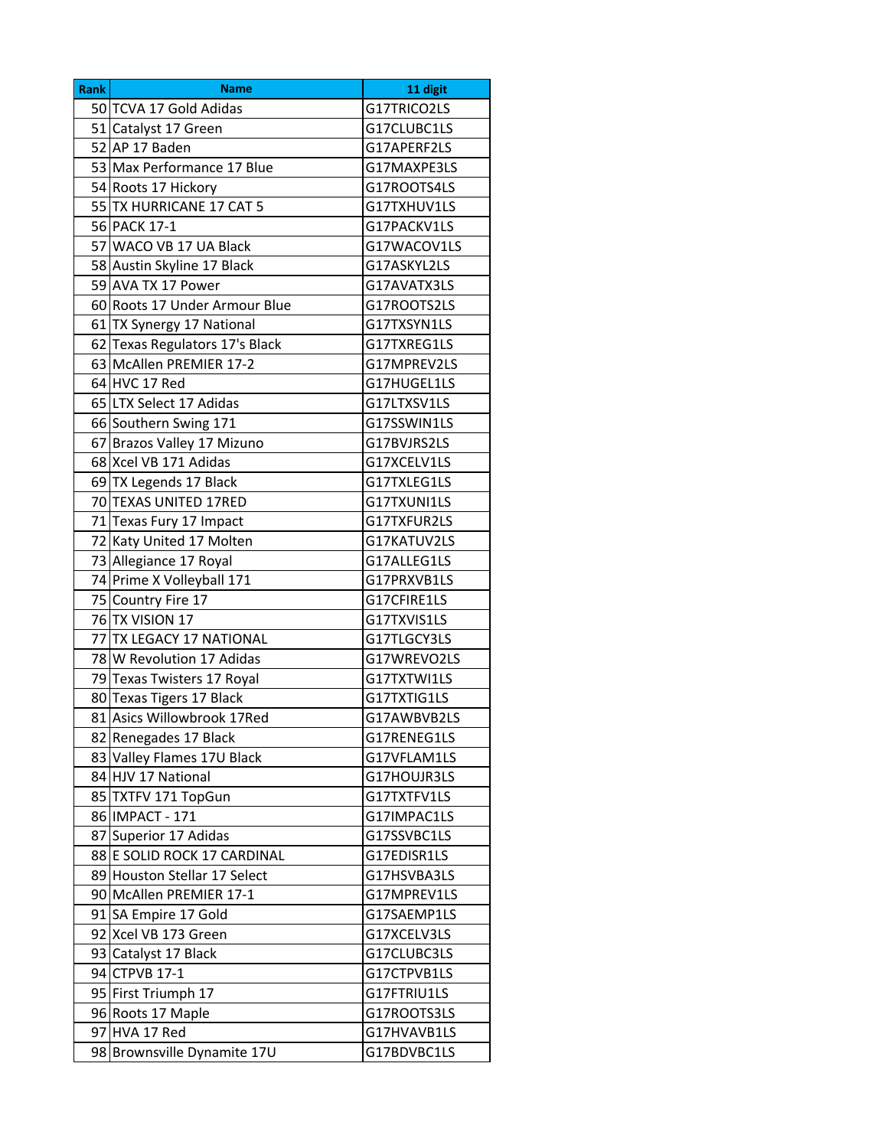| G17TRICO2LS<br>50 TCVA 17 Gold Adidas<br>G17CLUBC1LS<br>51 Catalyst 17 Green<br>52 AP 17 Baden<br>G17APERF2LS<br>53 Max Performance 17 Blue<br>G17MAXPE3LS<br>54 Roots 17 Hickory<br>G17ROOTS4LS<br>55 TX HURRICANE 17 CAT 5<br>G17TXHUV1LS<br>56 PACK 17-1<br>G17PACKV1LS<br>57 WACO VB 17 UA Black<br>G17WACOV1LS<br>58 Austin Skyline 17 Black<br>G17ASKYL2LS<br>59 AVA TX 17 Power<br>G17AVATX3LS<br>60 Roots 17 Under Armour Blue<br>G17ROOTS2LS<br>61 TX Synergy 17 National<br>G17TXSYN1LS<br>62 Texas Regulators 17's Black<br>G17TXREG1LS<br>63 McAllen PREMIER 17-2<br>G17MPREV2LS<br>64 HVC 17 Red<br>G17HUGEL1LS<br>65 LTX Select 17 Adidas<br>G17LTXSV1LS<br>66 Southern Swing 171<br>G17SSWIN1LS<br>67 Brazos Valley 17 Mizuno<br>G17BVJRS2LS<br>68 Xcel VB 171 Adidas<br>G17XCELV1LS<br>G17TXLEG1LS<br>69 TX Legends 17 Black<br>70 TEXAS UNITED 17RED<br>G17TXUNI1LS<br>71 Texas Fury 17 Impact<br>G17TXFUR2LS<br>72 Katy United 17 Molten<br>G17KATUV2LS<br>73 Allegiance 17 Royal<br>G17ALLEG1LS<br>74 Prime X Volleyball 171<br>G17PRXVB1LS<br>75 Country Fire 17<br>G17CFIRE1LS<br>76 TX VISION 17<br>G17TXVIS1LS<br>77 TX LEGACY 17 NATIONAL<br>G17TLGCY3LS<br>78 W Revolution 17 Adidas<br>G17WREVO2LS<br>79 Texas Twisters 17 Royal<br>G17TXTWI1LS<br>80 Texas Tigers 17 Black<br>G17TXTIG1LS<br>81 Asics Willowbrook 17Red<br>G17AWBVB2LS<br>82 Renegades 17 Black<br>G17RENEG1LS<br>83 Valley Flames 17U Black<br>G17VFLAM1LS<br>84 HJV 17 National<br>G17HOUJR3LS<br>85 TXTFV 171 TopGun<br>G17TXTFV1LS<br>86 IMPACT - 171<br>G17IMPAC1LS<br>87 Superior 17 Adidas<br>G17SSVBC1LS<br>88 E SOLID ROCK 17 CARDINAL<br>G17EDISR1LS<br>89 Houston Stellar 17 Select<br>G17HSVBA3LS<br>90 McAllen PREMIER 17-1<br>G17MPREV1LS<br>91 SA Empire 17 Gold<br>G17SAEMP1LS<br>92 Xcel VB 173 Green<br>G17XCELV3LS<br>93 Catalyst 17 Black<br>G17CLUBC3LS<br>94 CTPVB 17-1<br>G17CTPVB1LS<br>95 First Triumph 17<br>G17FTRIU1LS<br>96 Roots 17 Maple<br>G17ROOTS3LS<br>97 HVA 17 Red<br>G17HVAVB1LS | <b>Rank</b> | <b>Name</b> | 11 digit |
|-------------------------------------------------------------------------------------------------------------------------------------------------------------------------------------------------------------------------------------------------------------------------------------------------------------------------------------------------------------------------------------------------------------------------------------------------------------------------------------------------------------------------------------------------------------------------------------------------------------------------------------------------------------------------------------------------------------------------------------------------------------------------------------------------------------------------------------------------------------------------------------------------------------------------------------------------------------------------------------------------------------------------------------------------------------------------------------------------------------------------------------------------------------------------------------------------------------------------------------------------------------------------------------------------------------------------------------------------------------------------------------------------------------------------------------------------------------------------------------------------------------------------------------------------------------------------------------------------------------------------------------------------------------------------------------------------------------------------------------------------------------------------------------------------------------------------------------------------------------------------------------------------------------------------------------------------------------------------------------------------------------------|-------------|-------------|----------|
|                                                                                                                                                                                                                                                                                                                                                                                                                                                                                                                                                                                                                                                                                                                                                                                                                                                                                                                                                                                                                                                                                                                                                                                                                                                                                                                                                                                                                                                                                                                                                                                                                                                                                                                                                                                                                                                                                                                                                                                                                   |             |             |          |
|                                                                                                                                                                                                                                                                                                                                                                                                                                                                                                                                                                                                                                                                                                                                                                                                                                                                                                                                                                                                                                                                                                                                                                                                                                                                                                                                                                                                                                                                                                                                                                                                                                                                                                                                                                                                                                                                                                                                                                                                                   |             |             |          |
|                                                                                                                                                                                                                                                                                                                                                                                                                                                                                                                                                                                                                                                                                                                                                                                                                                                                                                                                                                                                                                                                                                                                                                                                                                                                                                                                                                                                                                                                                                                                                                                                                                                                                                                                                                                                                                                                                                                                                                                                                   |             |             |          |
|                                                                                                                                                                                                                                                                                                                                                                                                                                                                                                                                                                                                                                                                                                                                                                                                                                                                                                                                                                                                                                                                                                                                                                                                                                                                                                                                                                                                                                                                                                                                                                                                                                                                                                                                                                                                                                                                                                                                                                                                                   |             |             |          |
|                                                                                                                                                                                                                                                                                                                                                                                                                                                                                                                                                                                                                                                                                                                                                                                                                                                                                                                                                                                                                                                                                                                                                                                                                                                                                                                                                                                                                                                                                                                                                                                                                                                                                                                                                                                                                                                                                                                                                                                                                   |             |             |          |
|                                                                                                                                                                                                                                                                                                                                                                                                                                                                                                                                                                                                                                                                                                                                                                                                                                                                                                                                                                                                                                                                                                                                                                                                                                                                                                                                                                                                                                                                                                                                                                                                                                                                                                                                                                                                                                                                                                                                                                                                                   |             |             |          |
|                                                                                                                                                                                                                                                                                                                                                                                                                                                                                                                                                                                                                                                                                                                                                                                                                                                                                                                                                                                                                                                                                                                                                                                                                                                                                                                                                                                                                                                                                                                                                                                                                                                                                                                                                                                                                                                                                                                                                                                                                   |             |             |          |
|                                                                                                                                                                                                                                                                                                                                                                                                                                                                                                                                                                                                                                                                                                                                                                                                                                                                                                                                                                                                                                                                                                                                                                                                                                                                                                                                                                                                                                                                                                                                                                                                                                                                                                                                                                                                                                                                                                                                                                                                                   |             |             |          |
|                                                                                                                                                                                                                                                                                                                                                                                                                                                                                                                                                                                                                                                                                                                                                                                                                                                                                                                                                                                                                                                                                                                                                                                                                                                                                                                                                                                                                                                                                                                                                                                                                                                                                                                                                                                                                                                                                                                                                                                                                   |             |             |          |
|                                                                                                                                                                                                                                                                                                                                                                                                                                                                                                                                                                                                                                                                                                                                                                                                                                                                                                                                                                                                                                                                                                                                                                                                                                                                                                                                                                                                                                                                                                                                                                                                                                                                                                                                                                                                                                                                                                                                                                                                                   |             |             |          |
|                                                                                                                                                                                                                                                                                                                                                                                                                                                                                                                                                                                                                                                                                                                                                                                                                                                                                                                                                                                                                                                                                                                                                                                                                                                                                                                                                                                                                                                                                                                                                                                                                                                                                                                                                                                                                                                                                                                                                                                                                   |             |             |          |
|                                                                                                                                                                                                                                                                                                                                                                                                                                                                                                                                                                                                                                                                                                                                                                                                                                                                                                                                                                                                                                                                                                                                                                                                                                                                                                                                                                                                                                                                                                                                                                                                                                                                                                                                                                                                                                                                                                                                                                                                                   |             |             |          |
|                                                                                                                                                                                                                                                                                                                                                                                                                                                                                                                                                                                                                                                                                                                                                                                                                                                                                                                                                                                                                                                                                                                                                                                                                                                                                                                                                                                                                                                                                                                                                                                                                                                                                                                                                                                                                                                                                                                                                                                                                   |             |             |          |
|                                                                                                                                                                                                                                                                                                                                                                                                                                                                                                                                                                                                                                                                                                                                                                                                                                                                                                                                                                                                                                                                                                                                                                                                                                                                                                                                                                                                                                                                                                                                                                                                                                                                                                                                                                                                                                                                                                                                                                                                                   |             |             |          |
|                                                                                                                                                                                                                                                                                                                                                                                                                                                                                                                                                                                                                                                                                                                                                                                                                                                                                                                                                                                                                                                                                                                                                                                                                                                                                                                                                                                                                                                                                                                                                                                                                                                                                                                                                                                                                                                                                                                                                                                                                   |             |             |          |
|                                                                                                                                                                                                                                                                                                                                                                                                                                                                                                                                                                                                                                                                                                                                                                                                                                                                                                                                                                                                                                                                                                                                                                                                                                                                                                                                                                                                                                                                                                                                                                                                                                                                                                                                                                                                                                                                                                                                                                                                                   |             |             |          |
|                                                                                                                                                                                                                                                                                                                                                                                                                                                                                                                                                                                                                                                                                                                                                                                                                                                                                                                                                                                                                                                                                                                                                                                                                                                                                                                                                                                                                                                                                                                                                                                                                                                                                                                                                                                                                                                                                                                                                                                                                   |             |             |          |
|                                                                                                                                                                                                                                                                                                                                                                                                                                                                                                                                                                                                                                                                                                                                                                                                                                                                                                                                                                                                                                                                                                                                                                                                                                                                                                                                                                                                                                                                                                                                                                                                                                                                                                                                                                                                                                                                                                                                                                                                                   |             |             |          |
|                                                                                                                                                                                                                                                                                                                                                                                                                                                                                                                                                                                                                                                                                                                                                                                                                                                                                                                                                                                                                                                                                                                                                                                                                                                                                                                                                                                                                                                                                                                                                                                                                                                                                                                                                                                                                                                                                                                                                                                                                   |             |             |          |
|                                                                                                                                                                                                                                                                                                                                                                                                                                                                                                                                                                                                                                                                                                                                                                                                                                                                                                                                                                                                                                                                                                                                                                                                                                                                                                                                                                                                                                                                                                                                                                                                                                                                                                                                                                                                                                                                                                                                                                                                                   |             |             |          |
|                                                                                                                                                                                                                                                                                                                                                                                                                                                                                                                                                                                                                                                                                                                                                                                                                                                                                                                                                                                                                                                                                                                                                                                                                                                                                                                                                                                                                                                                                                                                                                                                                                                                                                                                                                                                                                                                                                                                                                                                                   |             |             |          |
|                                                                                                                                                                                                                                                                                                                                                                                                                                                                                                                                                                                                                                                                                                                                                                                                                                                                                                                                                                                                                                                                                                                                                                                                                                                                                                                                                                                                                                                                                                                                                                                                                                                                                                                                                                                                                                                                                                                                                                                                                   |             |             |          |
|                                                                                                                                                                                                                                                                                                                                                                                                                                                                                                                                                                                                                                                                                                                                                                                                                                                                                                                                                                                                                                                                                                                                                                                                                                                                                                                                                                                                                                                                                                                                                                                                                                                                                                                                                                                                                                                                                                                                                                                                                   |             |             |          |
|                                                                                                                                                                                                                                                                                                                                                                                                                                                                                                                                                                                                                                                                                                                                                                                                                                                                                                                                                                                                                                                                                                                                                                                                                                                                                                                                                                                                                                                                                                                                                                                                                                                                                                                                                                                                                                                                                                                                                                                                                   |             |             |          |
|                                                                                                                                                                                                                                                                                                                                                                                                                                                                                                                                                                                                                                                                                                                                                                                                                                                                                                                                                                                                                                                                                                                                                                                                                                                                                                                                                                                                                                                                                                                                                                                                                                                                                                                                                                                                                                                                                                                                                                                                                   |             |             |          |
|                                                                                                                                                                                                                                                                                                                                                                                                                                                                                                                                                                                                                                                                                                                                                                                                                                                                                                                                                                                                                                                                                                                                                                                                                                                                                                                                                                                                                                                                                                                                                                                                                                                                                                                                                                                                                                                                                                                                                                                                                   |             |             |          |
|                                                                                                                                                                                                                                                                                                                                                                                                                                                                                                                                                                                                                                                                                                                                                                                                                                                                                                                                                                                                                                                                                                                                                                                                                                                                                                                                                                                                                                                                                                                                                                                                                                                                                                                                                                                                                                                                                                                                                                                                                   |             |             |          |
|                                                                                                                                                                                                                                                                                                                                                                                                                                                                                                                                                                                                                                                                                                                                                                                                                                                                                                                                                                                                                                                                                                                                                                                                                                                                                                                                                                                                                                                                                                                                                                                                                                                                                                                                                                                                                                                                                                                                                                                                                   |             |             |          |
|                                                                                                                                                                                                                                                                                                                                                                                                                                                                                                                                                                                                                                                                                                                                                                                                                                                                                                                                                                                                                                                                                                                                                                                                                                                                                                                                                                                                                                                                                                                                                                                                                                                                                                                                                                                                                                                                                                                                                                                                                   |             |             |          |
|                                                                                                                                                                                                                                                                                                                                                                                                                                                                                                                                                                                                                                                                                                                                                                                                                                                                                                                                                                                                                                                                                                                                                                                                                                                                                                                                                                                                                                                                                                                                                                                                                                                                                                                                                                                                                                                                                                                                                                                                                   |             |             |          |
|                                                                                                                                                                                                                                                                                                                                                                                                                                                                                                                                                                                                                                                                                                                                                                                                                                                                                                                                                                                                                                                                                                                                                                                                                                                                                                                                                                                                                                                                                                                                                                                                                                                                                                                                                                                                                                                                                                                                                                                                                   |             |             |          |
|                                                                                                                                                                                                                                                                                                                                                                                                                                                                                                                                                                                                                                                                                                                                                                                                                                                                                                                                                                                                                                                                                                                                                                                                                                                                                                                                                                                                                                                                                                                                                                                                                                                                                                                                                                                                                                                                                                                                                                                                                   |             |             |          |
|                                                                                                                                                                                                                                                                                                                                                                                                                                                                                                                                                                                                                                                                                                                                                                                                                                                                                                                                                                                                                                                                                                                                                                                                                                                                                                                                                                                                                                                                                                                                                                                                                                                                                                                                                                                                                                                                                                                                                                                                                   |             |             |          |
|                                                                                                                                                                                                                                                                                                                                                                                                                                                                                                                                                                                                                                                                                                                                                                                                                                                                                                                                                                                                                                                                                                                                                                                                                                                                                                                                                                                                                                                                                                                                                                                                                                                                                                                                                                                                                                                                                                                                                                                                                   |             |             |          |
|                                                                                                                                                                                                                                                                                                                                                                                                                                                                                                                                                                                                                                                                                                                                                                                                                                                                                                                                                                                                                                                                                                                                                                                                                                                                                                                                                                                                                                                                                                                                                                                                                                                                                                                                                                                                                                                                                                                                                                                                                   |             |             |          |
|                                                                                                                                                                                                                                                                                                                                                                                                                                                                                                                                                                                                                                                                                                                                                                                                                                                                                                                                                                                                                                                                                                                                                                                                                                                                                                                                                                                                                                                                                                                                                                                                                                                                                                                                                                                                                                                                                                                                                                                                                   |             |             |          |
|                                                                                                                                                                                                                                                                                                                                                                                                                                                                                                                                                                                                                                                                                                                                                                                                                                                                                                                                                                                                                                                                                                                                                                                                                                                                                                                                                                                                                                                                                                                                                                                                                                                                                                                                                                                                                                                                                                                                                                                                                   |             |             |          |
|                                                                                                                                                                                                                                                                                                                                                                                                                                                                                                                                                                                                                                                                                                                                                                                                                                                                                                                                                                                                                                                                                                                                                                                                                                                                                                                                                                                                                                                                                                                                                                                                                                                                                                                                                                                                                                                                                                                                                                                                                   |             |             |          |
|                                                                                                                                                                                                                                                                                                                                                                                                                                                                                                                                                                                                                                                                                                                                                                                                                                                                                                                                                                                                                                                                                                                                                                                                                                                                                                                                                                                                                                                                                                                                                                                                                                                                                                                                                                                                                                                                                                                                                                                                                   |             |             |          |
|                                                                                                                                                                                                                                                                                                                                                                                                                                                                                                                                                                                                                                                                                                                                                                                                                                                                                                                                                                                                                                                                                                                                                                                                                                                                                                                                                                                                                                                                                                                                                                                                                                                                                                                                                                                                                                                                                                                                                                                                                   |             |             |          |
|                                                                                                                                                                                                                                                                                                                                                                                                                                                                                                                                                                                                                                                                                                                                                                                                                                                                                                                                                                                                                                                                                                                                                                                                                                                                                                                                                                                                                                                                                                                                                                                                                                                                                                                                                                                                                                                                                                                                                                                                                   |             |             |          |
|                                                                                                                                                                                                                                                                                                                                                                                                                                                                                                                                                                                                                                                                                                                                                                                                                                                                                                                                                                                                                                                                                                                                                                                                                                                                                                                                                                                                                                                                                                                                                                                                                                                                                                                                                                                                                                                                                                                                                                                                                   |             |             |          |
|                                                                                                                                                                                                                                                                                                                                                                                                                                                                                                                                                                                                                                                                                                                                                                                                                                                                                                                                                                                                                                                                                                                                                                                                                                                                                                                                                                                                                                                                                                                                                                                                                                                                                                                                                                                                                                                                                                                                                                                                                   |             |             |          |
|                                                                                                                                                                                                                                                                                                                                                                                                                                                                                                                                                                                                                                                                                                                                                                                                                                                                                                                                                                                                                                                                                                                                                                                                                                                                                                                                                                                                                                                                                                                                                                                                                                                                                                                                                                                                                                                                                                                                                                                                                   |             |             |          |
|                                                                                                                                                                                                                                                                                                                                                                                                                                                                                                                                                                                                                                                                                                                                                                                                                                                                                                                                                                                                                                                                                                                                                                                                                                                                                                                                                                                                                                                                                                                                                                                                                                                                                                                                                                                                                                                                                                                                                                                                                   |             |             |          |
|                                                                                                                                                                                                                                                                                                                                                                                                                                                                                                                                                                                                                                                                                                                                                                                                                                                                                                                                                                                                                                                                                                                                                                                                                                                                                                                                                                                                                                                                                                                                                                                                                                                                                                                                                                                                                                                                                                                                                                                                                   |             |             |          |
|                                                                                                                                                                                                                                                                                                                                                                                                                                                                                                                                                                                                                                                                                                                                                                                                                                                                                                                                                                                                                                                                                                                                                                                                                                                                                                                                                                                                                                                                                                                                                                                                                                                                                                                                                                                                                                                                                                                                                                                                                   |             |             |          |
|                                                                                                                                                                                                                                                                                                                                                                                                                                                                                                                                                                                                                                                                                                                                                                                                                                                                                                                                                                                                                                                                                                                                                                                                                                                                                                                                                                                                                                                                                                                                                                                                                                                                                                                                                                                                                                                                                                                                                                                                                   |             |             |          |
| 98 Brownsville Dynamite 17U<br>G17BDVBC1LS                                                                                                                                                                                                                                                                                                                                                                                                                                                                                                                                                                                                                                                                                                                                                                                                                                                                                                                                                                                                                                                                                                                                                                                                                                                                                                                                                                                                                                                                                                                                                                                                                                                                                                                                                                                                                                                                                                                                                                        |             |             |          |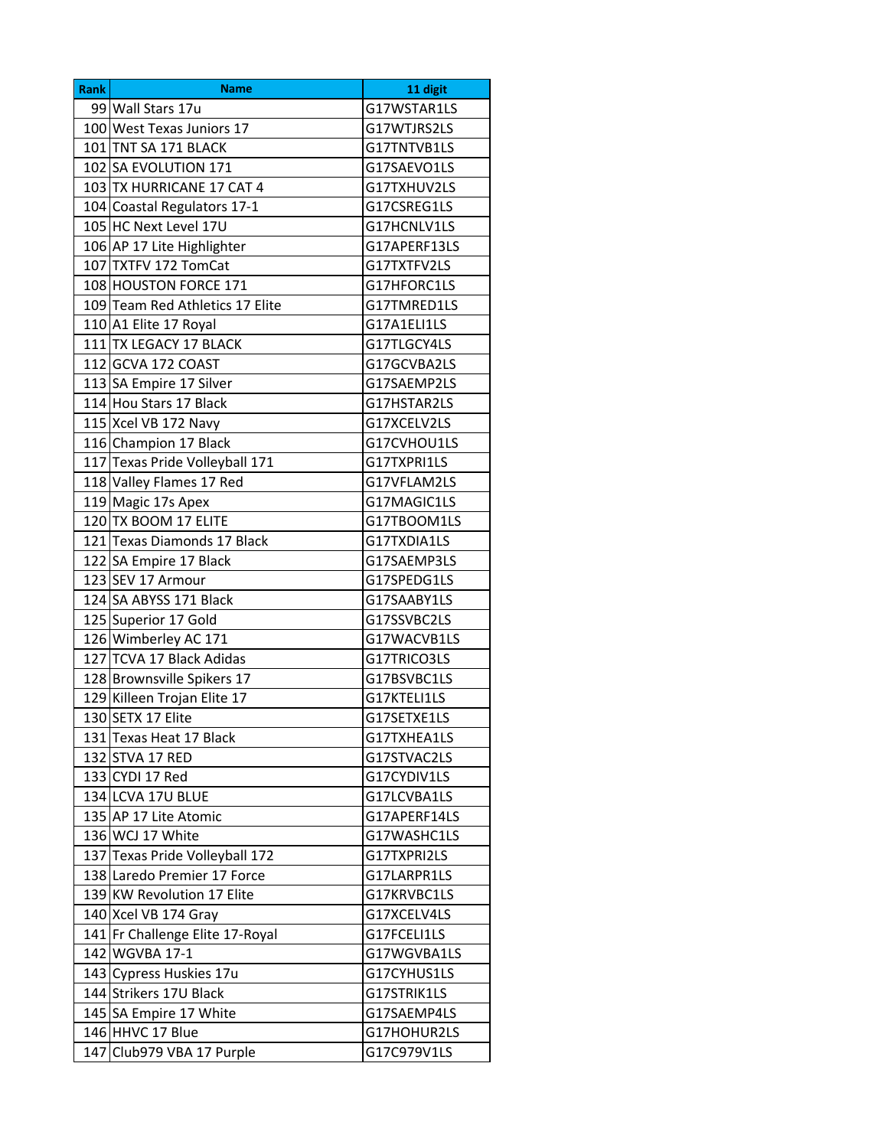| <b>Rank</b> | Name                            | 11 digit     |
|-------------|---------------------------------|--------------|
|             | 99 Wall Stars 17u               | G17WSTAR1LS  |
|             | 100 West Texas Juniors 17       | G17WTJRS2LS  |
|             | 101 TNT SA 171 BLACK            | G17TNTVB1LS  |
|             | 102 SA EVOLUTION 171            | G17SAEVO1LS  |
|             | 103 TX HURRICANE 17 CAT 4       | G17TXHUV2LS  |
|             | 104 Coastal Regulators 17-1     | G17CSREG1LS  |
|             | 105 HC Next Level 17U           | G17HCNLV1LS  |
|             | 106 AP 17 Lite Highlighter      | G17APERF13LS |
|             | 107 TXTFV 172 TomCat            | G17TXTFV2LS  |
|             | 108 HOUSTON FORCE 171           | G17HFORC1LS  |
|             | 109 Team Red Athletics 17 Elite | G17TMRED1LS  |
|             | 110 A1 Elite 17 Royal           | G17A1ELI1LS  |
|             | 111 TX LEGACY 17 BLACK          | G17TLGCY4LS  |
|             | 112 GCVA 172 COAST              | G17GCVBA2LS  |
|             | 113 SA Empire 17 Silver         | G17SAEMP2LS  |
|             | 114 Hou Stars 17 Black          | G17HSTAR2LS  |
|             | 115 Xcel VB 172 Navy            | G17XCELV2LS  |
|             | 116 Champion 17 Black           | G17CVHOU1LS  |
|             | 117 Texas Pride Volleyball 171  | G17TXPRI1LS  |
|             | 118 Valley Flames 17 Red        | G17VFLAM2LS  |
|             | 119 Magic 17s Apex              | G17MAGIC1LS  |
|             | 120 TX BOOM 17 ELITE            | G17TBOOM1LS  |
|             | 121 Texas Diamonds 17 Black     | G17TXDIA1LS  |
|             | 122 SA Empire 17 Black          | G17SAEMP3LS  |
|             | 123 SEV 17 Armour               | G17SPEDG1LS  |
|             | 124 SA ABYSS 171 Black          | G17SAABY1LS  |
|             | 125 Superior 17 Gold            | G17SSVBC2LS  |
|             | 126 Wimberley AC 171            | G17WACVB1LS  |
|             | 127 TCVA 17 Black Adidas        | G17TRICO3LS  |
|             | 128 Brownsville Spikers 17      | G17BSVBC1LS  |
|             | 129 Killeen Trojan Elite 17     | G17KTELI1LS  |
|             | 130 SETX 17 Elite               | G17SETXE1LS  |
|             | 131 Texas Heat 17 Black         | G17TXHEA1LS  |
|             | 132 STVA 17 RED                 | G17STVAC2LS  |
|             | 133 CYDI 17 Red                 | G17CYDIV1LS  |
|             | 134 LCVA 17U BLUE               | G17LCVBA1LS  |
|             | 135 AP 17 Lite Atomic           | G17APERF14LS |
|             | 136 WCJ 17 White                | G17WASHC1LS  |
|             | 137 Texas Pride Volleyball 172  | G17TXPRI2LS  |
|             | 138 Laredo Premier 17 Force     | G17LARPR1LS  |
|             | 139 KW Revolution 17 Elite      | G17KRVBC1LS  |
|             | 140 Xcel VB 174 Gray            | G17XCELV4LS  |
|             | 141 Fr Challenge Elite 17-Royal | G17FCELI1LS  |
|             | 142 WGVBA 17-1                  | G17WGVBA1LS  |
|             | 143 Cypress Huskies 17u         | G17CYHUS1LS  |
|             | 144 Strikers 17U Black          | G17STRIK1LS  |
|             | 145 SA Empire 17 White          | G17SAEMP4LS  |
|             | 146 HHVC 17 Blue                | G17HOHUR2LS  |
|             | 147 Club979 VBA 17 Purple       | G17C979V1LS  |
|             |                                 |              |